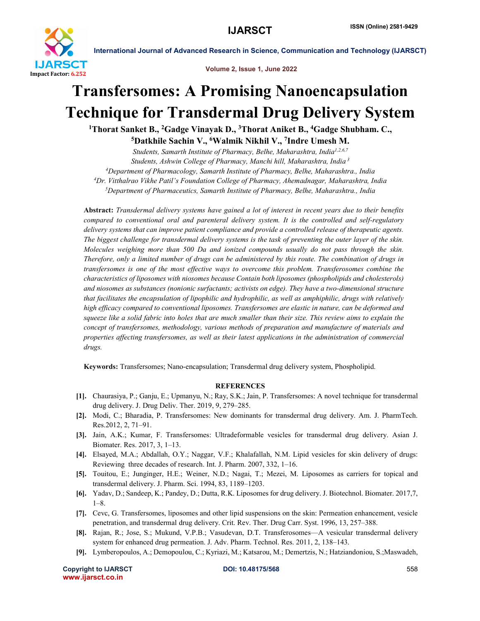

Volume 2, Issue 1, June 2022

# Transfersomes: A Promising Nanoencapsulation Technique for Transdermal Drug Delivery System

<sup>1</sup>Thorat Sanket B., <sup>2</sup>Gadge Vinayak D., <sup>3</sup>Thorat Aniket B., <sup>4</sup>Gadge Shubham. C.,

5Datkhile Sachin V., 6Walmik Nikhil V., 7Indre Umesh M.

*Students, Samarth Institute of Pharmacy, Belhe, Maharashtra, India1,2,6,7 Students, Ashwin College of Pharmacy, Manchi hill, Maharashtra, India <sup>3</sup> 4 Department of Pharmacology, Samarth Institute of Pharmacy, Belhe, Maharashtra., India 4 Dr. Vitthalrao Vikhe Patil's Foundation College of Pharmacy, Ahemadnagar, Maharashtra, India 5 Department of Pharmaceutics, Samarth Institute of Pharmacy, Belhe, Maharashtra., India*

Abstract: *Transdermal delivery systems have gained a lot of interest in recent years due to their benefits compared to conventional oral and parenteral delivery system. It is the controlled and self-regulatory delivery systems that can improve patient compliance and provide a controlled release of therapeutic agents. The biggest challenge for transdermal delivery systems is the task of preventing the outer layer of the skin. Molecules weighing more than 500 Da and ionized compounds usually do not pass through the skin. Therefore, only a limited number of drugs can be administered by this route. The combination of drugs in transfersomes is one of the most effective ways to overcome this problem. Transferosomes combine the characteristics of liposomes with niosomes because Contain both liposomes (phospholipids and cholesterols) and niosomes as substances (nonionic surfactants; activists on edge). They have a two-dimensional structure that facilitates the encapsulation of lipophilic and hydrophilic, as well as amphiphilic, drugs with relatively high efficacy compared to conventional liposomes. Transfersomes are elastic in nature, can be deformed and squeeze like a solid fabric into holes that are much smaller than their size. This review aims to explain the concept of transfersomes, methodology, various methods of preparation and manufacture of materials and properties affecting transfersomes, as well as their latest applications in the administration of commercial drugs.*

Keywords: Transfersomes; Nano-encapsulation; Transdermal drug delivery system, Phospholipid.

## **REFERENCES**

- [1]. Chaurasiya, P.; Ganju, E.; Upmanyu, N.; Ray, S.K.; Jain, P. Transfersomes: A novel technique for transdermal drug delivery. J. Drug Deliv. Ther. 2019, 9, 279–285.
- [2]. Modi, C.; Bharadia, P. Transfersomes: New dominants for transdermal drug delivery. Am. J. PharmTech. Res.2012, 2, 71–91.
- [3]. Jain, A.K.; Kumar, F. Transfersomes: Ultradeformable vesicles for transdermal drug delivery. Asian J. Biomater. Res. 2017, 3, 1–13.
- [4]. Elsayed, M.A.; Abdallah, O.Y.; Naggar, V.F.; Khalafallah, N.M. Lipid vesicles for skin delivery of drugs: Reviewing three decades of research. Int. J. Pharm. 2007, 332, 1–16.
- [5]. Touitou, E.; Junginger, H.E.; Weiner, N.D.; Nagai, T.; Mezei, M. Liposomes as carriers for topical and transdermal delivery. J. Pharm. Sci. 1994, 83, 1189–1203.
- [6]. Yadav, D.; Sandeep, K.; Pandey, D.; Dutta, R.K. Liposomes for drug delivery. J. Biotechnol. Biomater. 2017,7, 1–8.
- [7]. Cevc, G. Transfersomes, liposomes and other lipid suspensions on the skin: Permeation enhancement, vesicle penetration, and transdermal drug delivery. Crit. Rev. Ther. Drug Carr. Syst. 1996, 13, 257–388.
- [8]. Rajan, R.; Jose, S.; Mukund, V.P.B.; Vasudevan, D.T. Transferosomes—A vesicular transdermal delivery system for enhanced drug permeation. J. Adv. Pharm. Technol. Res. 2011, 2, 138–143.
- [9]. Lymberopoulos, A.; Demopoulou, C.; Kyriazi, M.; Katsarou, M.; Demertzis, N.; Hatziandoniou, S.;Maswadeh,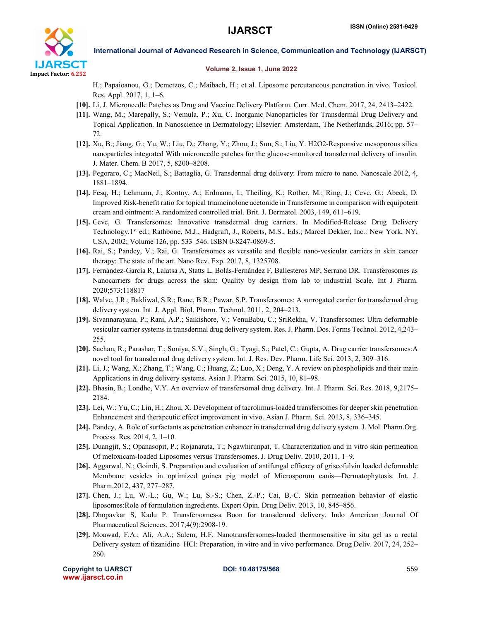

#### Volume 2, Issue 1, June 2022

H.; Papaioanou, G.; Demetzos, C.; Maibach, H.; et al. Liposome percutaneous penetration in vivo. Toxicol. Res. Appl. 2017, 1, 1–6.

- [10]. Li, J. Microneedle Patches as Drug and Vaccine Delivery Platform. Curr. Med. Chem. 2017, 24, 2413–2422.
- [11]. Wang, M.; Marepally, S.; Vemula, P.; Xu, C. Inorganic Nanoparticles for Transdermal Drug Delivery and Topical Application. In Nanoscience in Dermatology; Elsevier: Amsterdam, The Netherlands, 2016; pp. 57– 72.
- [12]. Xu, B.; Jiang, G.; Yu, W.; Liu, D.; Zhang, Y.; Zhou, J.; Sun, S.; Liu, Y. H2O2-Responsive mesoporous silica nanoparticles integrated With microneedle patches for the glucose-monitored transdermal delivery of insulin. J. Mater. Chem. B 2017, 5, 8200–8208.
- [13]. Pegoraro, C.; MacNeil, S.; Battaglia, G. Transdermal drug delivery: From micro to nano. Nanoscale 2012, 4, 1881–1894.
- [14]. Fesq, H.; Lehmann, J.; Kontny, A.; Erdmann, I.; Theiling, K.; Rother, M.; Ring, J.; Cevc, G.; Abeck, D. Improved Risk-benefit ratio for topical triamcinolone acetonide in Transfersome in comparison with equipotent cream and ointment: A randomized controlled trial. Brit. J. Dermatol. 2003, 149, 611–619.
- [15]. Cevc, G. Transfersomes: Innovative transdermal drug carriers. In Modified-Release Drug Delivery Technology, 1<sup>st</sup> ed.; Rathbone, M.J., Hadgraft, J., Roberts, M.S., Eds.; Marcel Dekker, Inc.: New York, NY, USA, 2002; Volume 126, pp. 533–546. ISBN 0-8247-0869-5.
- [16]. Rai, S.; Pandey, V.; Rai, G. Transfersomes as versatile and flexible nano-vesicular carriers in skin cancer therapy: The state of the art. Nano Rev. Exp. 2017, 8, 1325708.
- [17]. Fernández-García R, Lalatsa A, Statts L, Bolás-Fernández F, Ballesteros MP, Serrano DR. Transferosomes as Nanocarriers for drugs across the skin: Quality by design from lab to industrial Scale. Int J Pharm. 2020;573:118817
- [18]. Walve, J.R.; Bakliwal, S.R.; Rane, B.R.; Pawar, S.P. Transfersomes: A surrogated carrier for transdermal drug delivery system. Int. J. Appl. Biol. Pharm. Technol. 2011, 2, 204–213.
- [19]. Sivannarayana, P.; Rani, A.P.; Saikishore, V.; VenuBabu, C.; SriRekha, V. Transfersomes: Ultra deformable vesicular carrier systems in transdermal drug delivery system. Res. J. Pharm. Dos. Forms Technol. 2012, 4,243– 255.
- [20]. Sachan, R.; Parashar, T.; Soniya, S.V.; Singh, G.; Tyagi, S.; Patel, C.; Gupta, A. Drug carrier transfersomes:A novel tool for transdermal drug delivery system. Int. J. Res. Dev. Pharm. Life Sci. 2013, 2, 309–316.
- [21]. Li, J.; Wang, X.; Zhang, T.; Wang, C.; Huang, Z.; Luo, X.; Deng, Y. A review on phospholipids and their main Applications in drug delivery systems. Asian J. Pharm. Sci. 2015, 10, 81–98.
- [22]. Bhasin, B.; Londhe, V.Y. An overview of transfersomal drug delivery. Int. J. Pharm. Sci. Res. 2018, 9,2175– 2184.
- [23]. Lei, W.; Yu, C.; Lin, H.; Zhou, X. Development of tacrolimus-loaded transfersomes for deeper skin penetration Enhancement and therapeutic effect improvement in vivo. Asian J. Pharm. Sci. 2013, 8, 336–345.
- [24]. Pandey, A. Role of surfactants as penetration enhancer in transdermal drug delivery system. J. Mol. Pharm.Org. Process. Res. 2014, 2, 1–10.
- [25]. Duangjit, S.; Opanasopit, P.; Rojanarata, T.; Ngawhirunpat, T. Characterization and in vitro skin permeation Of meloxicam-loaded Liposomes versus Transfersomes. J. Drug Deliv. 2010, 2011, 1–9.
- [26]. Aggarwal, N.; Goindi, S. Preparation and evaluation of antifungal efficacy of griseofulvin loaded deformable Membrane vesicles in optimized guinea pig model of Microsporum canis—Dermatophytosis. Int. J. Pharm.2012, 437, 277–287.
- [27]. Chen, J.; Lu, W.-L.; Gu, W.; Lu, S.-S.; Chen, Z.-P.; Cai, B.-C. Skin permeation behavior of elastic liposomes:Role of formulation ingredients. Expert Opin. Drug Deliv. 2013, 10, 845–856.
- [28]. Dhopavkar S, Kadu P. Transfersomes-a Boon for transdermal delivery. Indo American Journal Of Pharmaceutical Sciences. 2017;4(9):2908-19.
- [29]. Moawad, F.A.; Ali, A.A.; Salem, H.F. Nanotransfersomes-loaded thermosensitive in situ gel as a rectal Delivery system of tizanidine HCl: Preparation, in vitro and in vivo performance. Drug Deliv. 2017, 24, 252– 260.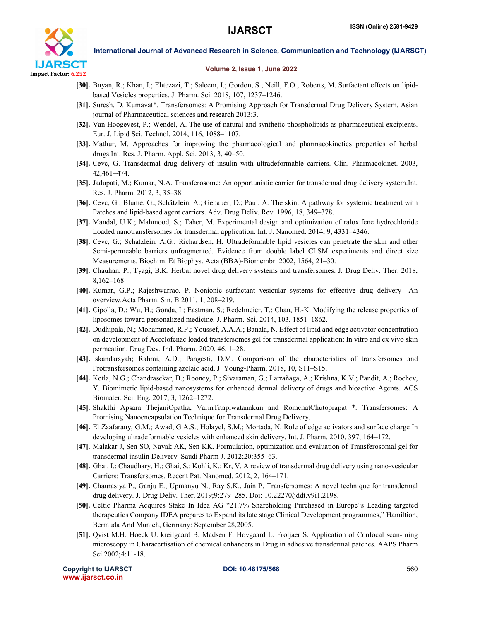

### Volume 2, Issue 1, June 2022

- [30]. Bnyan, R.; Khan, I.; Ehtezazi, T.; Saleem, I.; Gordon, S.; Neill, F.O.; Roberts, M. Surfactant effects on lipidbased Vesicles properties. J. Pharm. Sci. 2018, 107, 1237–1246.
- [31]. Suresh. D. Kumavat\*. Transfersomes: A Promising Approach for Transdermal Drug Delivery System. Asian journal of Pharmaceutical sciences and research 2013;3.
- [32]. Van Hoogevest, P.; Wendel, A. The use of natural and synthetic phospholipids as pharmaceutical excipients. Eur. J. Lipid Sci. Technol. 2014, 116, 1088–1107.
- [33]. Mathur, M. Approaches for improving the pharmacological and pharmacokinetics properties of herbal drugs.Int. Res. J. Pharm. Appl. Sci. 2013, 3, 40–50.
- [34]. Cevc, G. Transdermal drug delivery of insulin with ultradeformable carriers. Clin. Pharmacokinet. 2003, 42,461–474.
- [35]. Jadupati, M.; Kumar, N.A. Transferosome: An opportunistic carrier for transdermal drug delivery system.Int. Res. J. Pharm. 2012, 3, 35–38.
- [36]. Cevc, G.; Blume, G.; Schätzlein, A.; Gebauer, D.; Paul, A. The skin: A pathway for systemic treatment with Patches and lipid-based agent carriers. Adv. Drug Deliv. Rev. 1996, 18, 349–378.
- [37]. Mandal, U.K.; Mahmood, S.; Taher, M. Experimental design and optimization of raloxifene hydrochloride Loaded nanotransfersomes for transdermal application. Int. J. Nanomed. 2014, 9, 4331–4346.
- [38]. Cevc, G.; Schatzlein, A.G.; Richardsen, H. Ultradeformable lipid vesicles can penetrate the skin and other Semi-permeable barriers unfragmented. Evidence from double label CLSM experiments and direct size Measurements. Biochim. Et Biophys. Acta (BBA)-Biomembr. 2002, 1564, 21–30.
- [39]. Chauhan, P.; Tyagi, B.K. Herbal novel drug delivery systems and transfersomes. J. Drug Deliv. Ther. 2018, 8,162–168.
- [40]. Kumar, G.P.; Rajeshwarrao, P. Nonionic surfactant vesicular systems for effective drug delivery—An overview.Acta Pharm. Sin. B 2011, 1, 208–219.
- [41]. Cipolla, D.; Wu, H.; Gonda, I.; Eastman, S.; Redelmeier, T.; Chan, H.-K. Modifying the release properties of liposomes toward personalized medicine. J. Pharm. Sci. 2014, 103, 1851–1862.
- [42]. Dudhipala, N.; Mohammed, R.P.; Youssef, A.A.A.; Banala, N. Effect of lipid and edge activator concentration on development of Aceclofenac loaded transfersomes gel for transdermal application: In vitro and ex vivo skin permeation. Drug Dev. Ind. Pharm. 2020, 46, 1–28.
- [43]. Iskandarsyah; Rahmi, A.D.; Pangesti, D.M. Comparison of the characteristics of transfersomes and Protransfersomes containing azelaic acid. J. Young-Pharm. 2018, 10, S11–S15.
- [44]. Kotla, N.G.; Chandrasekar, B.; Rooney, P.; Sivaraman, G.; Larrañaga, A.; Krishna, K.V.; Pandit, A.; Rochev, Y. Biomimetic lipid-based nanosystems for enhanced dermal delivery of drugs and bioactive Agents. ACS Biomater. Sci. Eng. 2017, 3, 1262–1272.
- [45]. Shakthi Apsara ThejaniOpatha, VarinTitapiwatanakun and RomchatChutoprapat \*. Transfersomes: A Promising Nanoencapsulation Technique for Transdermal Drug Delivery.
- [46]. El Zaafarany, G.M.; Awad, G.A.S.; Holayel, S.M.; Mortada, N. Role of edge activators and surface charge In developing ultradeformable vesicles with enhanced skin delivery. Int. J. Pharm. 2010, 397, 164–172.
- [47]. Malakar J, Sen SO, Nayak AK, Sen KK. Formulation, optimization and evaluation of Transferosomal gel for transdermal insulin Delivery. Saudi Pharm J. 2012;20:355–63.
- [48]. Ghai, I.; Chaudhary, H.; Ghai, S.; Kohli, K.; Kr, V. A review of transdermal drug delivery using nano-vesicular Carriers: Transfersomes. Recent Pat. Nanomed. 2012, 2, 164–171.
- [49]. Chaurasiya P., Ganju E., Upmanyu N., Ray S.K., Jain P. Transfersomes: A novel technique for transdermal drug delivery. J. Drug Deliv. Ther. 2019;9:279–285. Doi: 10.22270/jddt.v9i1.2198.
- [50]. Celtic Pharma Acquires Stake In Idea AG "21.7% Shareholding Purchased in Europe"s Leading targeted therapeutics Company IDEA prepares to Expand its late stage Clinical Development programmes," Hamiltion, Bermuda And Munich, Germany: September 28,2005.
- [51]. Qvist M.H. Hoeck U. kreilgaard B. Madsen F. Hovgaard L. Froljaer S. Application of Confocal scan- ning microscopy in Characertisation of chemical enhancers in Drug in adhesive transdermal patches. AAPS Pharm Sci 2002;4:11-18.